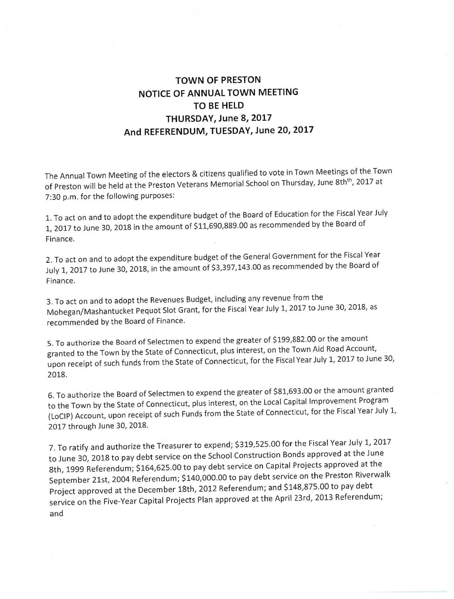## TOWN OF PRESTON NOTICE OF ANNUAL TOWN MEETING TO BE HELD THURSDAY, June 8, 2017 And REFERENDUM, TUESDAY, June 20, 2017

The Annual Town Meeting of the electors & citizens qualified to vote in Town Meetings of the Town of Preston will be held at the Preston Veterans Memorial School on Thursday, June 8th<sup>th</sup>, 2017 at 7:30 p.m. for the following purposes:

1. To act on and to adopt the expenditure budget of the Board of Education for the Fiscal Year July 1, 2017 to June 30, 2018 in the amount of \$11,690,889.00 as recommended by the Board of Finance.

2. To act on and to adopt the expenditure budget of the General Government for the Fiscal Year July 1, 2017 to June 30, 2018, in the amount of \$3,397,143.00 as recommended by the Board of Finance.

3. To act on and to adopt the Revenues Budget, including any revenue from the Mohegan/Mashantucket Pequot Slot Grant, for the Fiscal Year July 1, 2017 to June 30, 2018, as recommended by the Board of Finance.

5. To authorize the Board of Selectmen to expend the greater of \$199,882.00 or the amount granted to the Town by the State of Connecticut, plus interest, on the Town Aid Road Account, upon receipt of such funds from the State of Connecticut, for the Fiscal Year July 1, 2017 to June 30, 2018.

6. To authorize the Board of Selectmen to expend the greater of \$81,693.00 or the amount granted to the Town by the State of Connecticut, plus interest, on the Local Capital Improvement Program (LoCIP) Account, upon receipt of such Funds from the State of Connecticut, for the Fiscal Year July 1, 2017 through June 30, 2018.

7. To ratify and authorize the Treasurer to expend; \$319,525.00 for the Fiscal Year July 1, 2017 to June 30, 2018 to pay debt service on the School Construction Bonds approved at the June 8th,1999 Referendum; \$164,625.00 to pay debt service on Capital Projects approved at the September 21st, 2004 Referendum; \$140,000.00 to pay debt service on the Preston Riverwalk Project approved at the December 18th, 2012 Referendum; and \$148,875.00 to pay debt service on the Five-Year Capital Projects Plan approved at the April 23rd, 2013 Referendum; and